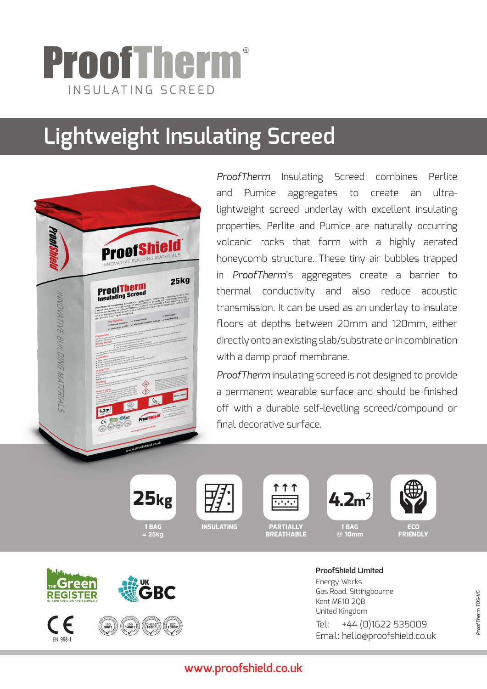## ProofTherm ® INSULATING SCREED

# **Lightweight Insulating Screed**



*ProofTherm* Insulating Screed combines Perlite and Pumice aggregates to create an ultralightweight screed underlay with excellent insulating properties. Perlite and Pumice are naturally occurring volcanic rocks that form with a highly aerated honeycomb structure. These tiny air bubbles trapped in *ProofTherm*'s aggregates create a barrier to thermal conductivity and also reduce acoustic transmission. It can be used as an underlay to insulate floors at depths between 20mm and 120mm, either directly onto an existing slab/substrate or in combination with a damp proof membrane.

*ProofTherm* insulating screed is not designed to provide a permanent wearable surface and should be finished off with a durable self-levelling screed/compound or final decorative surface.



**1 BAG = 25kg**



**INSULATING**



**PARTIALLY BREATHABLE**



**1 BAG @ 10mm**



**ECO FRIENDLY**



**ProofShield Limited** Energy Works Gas Road, Sittingbourne Kent ME10 2QB United Kingdom Tel: +44 (0)1622 535009 Email: hello@proofshield.co.uk

## **www.proofshield.co.uk**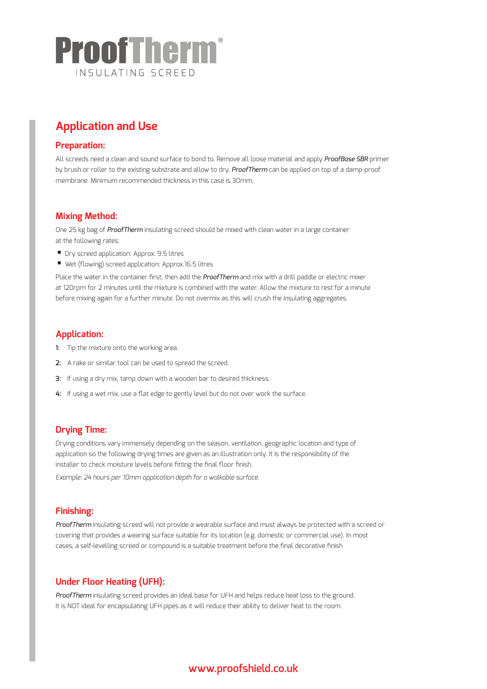

## **Application and Use**

#### **Preparation:**

All screeds need a clean and sound surface to bond to. Remove all loose material and apply *ProofBase SBR* primer by brush or roller to the existing substrate and allow to dry. *ProofTherm* can be applied on top of a damp-proof membrane. Minimum recommended thickness in this case is 30mm.

#### **Mixing Method:**

One 25 kg bag of *ProofTherm* insulating screed should be mixed with clean water in a large container at the following rates:

- Dry screed application: Approx. 9.5 litres
- Wet (flowing) screed application: Approx.16.5 litres

Place the water in the container first, then add the *ProofTherm* and mix with a drill paddle or electric mixer at 120rpm for 2 minutes until the mixture is combined with the water. Allow the mixture to rest for a minute before mixing again for a further minute. Do not overmix as this will crush the insulating aggregates.

#### **Application:**

- **1:** Tip the mixture onto the working area.
- **2:** A rake or similar tool can be used to spread the screed.
- **3:** If using a dry mix, tamp down with a wooden bar to desired thickness.
- **4:** If using a wet mix, use a flat edge to gently level but do not over work the surface.

#### **Drying Time:**

Drying conditions vary immensely depending on the season, ventilation, geographic location and type of application so the following drying times are given as an illustration only. It is the responsibility of the installer to check moisture levels before fitting the final floor finish.

*Example: 24 hours per 10mm application depth for a walkable surface.*

#### **Finishing:**

*ProofTherm* insulating screed will not provide a wearable surface and must always be protected with a screed or covering that provides a wearing surface suitable for its location (e.g. domestic or commercial use). In most cases, a self-levelling screed or compound is a suitable treatment before the final decorative finish

#### **Under Floor Heating (UFH):**

*ProofTherm* insulating screed provides an ideal base for UFH and helps reduce heat loss to the ground. It is NOT ideal for encapsulating UFH pipes as it will reduce their ability to deliver heat to the room.

### **www.proofshield.co.uk**